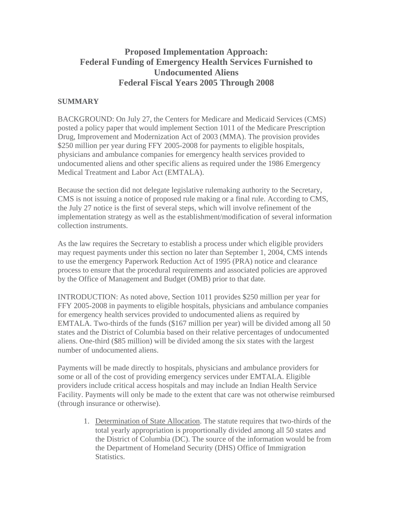## **Proposed Implementation Approach: Federal Funding of Emergency Health Services Furnished to Undocumented Aliens Federal Fiscal Years 2005 Through 2008**

## **SUMMARY**

BACKGROUND: On July 27, the Centers for Medicare and Medicaid Services (CMS) posted a policy paper that would implement Section 1011 of the Medicare Prescription Drug, Improvement and Modernization Act of 2003 (MMA). The provision provides \$250 million per year during FFY 2005-2008 for payments to eligible hospitals, physicians and ambulance companies for emergency health services provided to undocumented aliens and other specific aliens as required under the 1986 Emergency Medical Treatment and Labor Act (EMTALA).

Because the section did not delegate legislative rulemaking authority to the Secretary, CMS is not issuing a notice of proposed rule making or a final rule. According to CMS, the July 27 notice is the first of several steps, which will involve refinement of the implementation strategy as well as the establishment/modification of several information collection instruments.

As the law requires the Secretary to establish a process under which eligible providers may request payments under this section no later than September 1, 2004, CMS intends to use the emergency Paperwork Reduction Act of 1995 (PRA) notice and clearance process to ensure that the procedural requirements and associated policies are approved by the Office of Management and Budget (OMB) prior to that date.

INTRODUCTION: As noted above, Section 1011 provides \$250 million per year for FFY 2005-2008 in payments to eligible hospitals, physicians and ambulance companies for emergency health services provided to undocumented aliens as required by EMTALA. Two-thirds of the funds (\$167 million per year) will be divided among all 50 states and the District of Columbia based on their relative percentages of undocumented aliens. One-third (\$85 million) will be divided among the six states with the largest number of undocumented aliens.

Payments will be made directly to hospitals, physicians and ambulance providers for some or all of the cost of providing emergency services under EMTALA. Eligible providers include critical access hospitals and may include an Indian Health Service Facility. Payments will only be made to the extent that care was not otherwise reimbursed (through insurance or otherwise).

1. Determination of State Allocation. The statute requires that two-thirds of the total yearly appropriation is proportionally divided among all 50 states and the District of Columbia (DC). The source of the information would be from the Department of Homeland Security (DHS) Office of Immigration Statistics.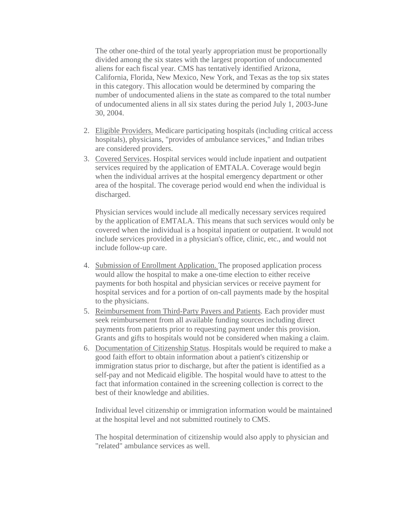The other one-third of the total yearly appropriation must be proportionally divided among the six states with the largest proportion of undocumented aliens for each fiscal year. CMS has tentatively identified Arizona, California, Florida, New Mexico, New York, and Texas as the top six states in this category. This allocation would be determined by comparing the number of undocumented aliens in the state as compared to the total number of undocumented aliens in all six states during the period July 1, 2003-June 30, 2004.

- 2. Eligible Providers. Medicare participating hospitals (including critical access hospitals), physicians, "provides of ambulance services," and Indian tribes are considered providers.
- 3. Covered Services. Hospital services would include inpatient and outpatient services required by the application of EMTALA. Coverage would begin when the individual arrives at the hospital emergency department or other area of the hospital. The coverage period would end when the individual is discharged.

Physician services would include all medically necessary services required by the application of EMTALA. This means that such services would only be covered when the individual is a hospital inpatient or outpatient. It would not include services provided in a physician's office, clinic, etc., and would not include follow-up care.

- 4. Submission of Enrollment Application. The proposed application process would allow the hospital to make a one-time election to either receive payments for both hospital and physician services or receive payment for hospital services and for a portion of on-call payments made by the hospital to the physicians.
- 5. Reimbursement from Third-Party Payers and Patients. Each provider must seek reimbursement from all available funding sources including direct payments from patients prior to requesting payment under this provision. Grants and gifts to hospitals would not be considered when making a claim.
- 6. Documentation of Citizenship Status. Hospitals would be required to make a good faith effort to obtain information about a patient's citizenship or immigration status prior to discharge, but after the patient is identified as a self-pay and not Medicaid eligible. The hospital would have to attest to the fact that information contained in the screening collection is correct to the best of their knowledge and abilities.

Individual level citizenship or immigration information would be maintained at the hospital level and not submitted routinely to CMS.

The hospital determination of citizenship would also apply to physician and "related" ambulance services as well.